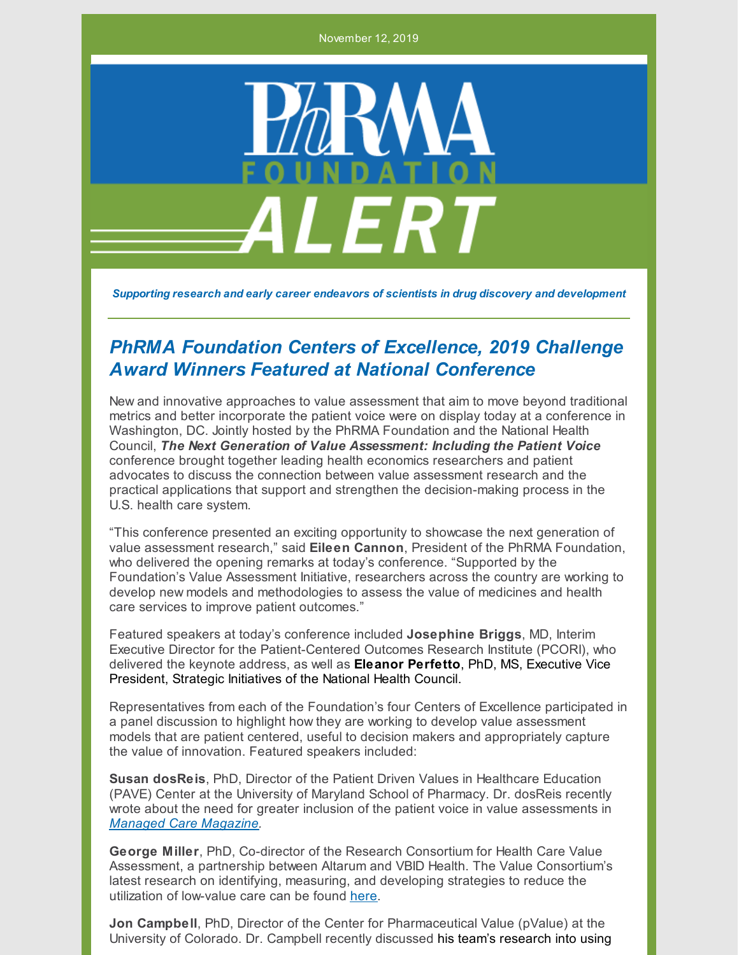November 12, 2019



*Supporting research and early career endeavors of scientists in drug discovery and development*

## *PhRMA Foundation Centers of Excellence, 2019 Challenge Award Winners Featured at National Conference*

New and innovative approaches to value assessment that aim to move beyond traditional metrics and better incorporate the patient voice were on display today at a conference in Washington, DC. Jointly hosted by the PhRMA Foundation and the National Health Council, *The Next Generation of Value Assessment: Including the Patient Voice* conference brought together leading health economics researchers and patient advocates to discuss the connection between value assessment research and the practical applications that support and strengthen the decision-making process in the U.S. health care system.

"This conference presented an exciting opportunity to showcase the next generation of value assessment research," said **Eileen Cannon**, President of the PhRMA Foundation, who delivered the opening remarks at today's conference. "Supported by the Foundation's Value Assessment Initiative, researchers across the country are working to develop new models and methodologies to assess the value of medicines and health care services to improve patient outcomes."

Featured speakers at today's conference included **Josephine Briggs**, MD, Interim Executive Director for the Patient-Centered Outcomes Research Institute (PCORI), who delivered the keynote address, as well as **Eleanor Perfetto**, PhD, MS, Executive Vice President, Strategic Initiatives of the National Health Council.

Representatives from each of the Foundation's four Centers of Excellence participated in a panel discussion to highlight how they are working to develop value assessment models that are patient centered, useful to decision makers and appropriately capture the value of innovation. Featured speakers included:

**Susan dosReis**, PhD, Director of the Patient Driven Values in Healthcare Education (PAVE) Center at the University of Maryland School of Pharmacy. Dr. dosReis recently wrote about the need for greater inclusion of the patient voice in value assessments in *Managed Care [Magazine](https://www.managedcaremag.com/archives/2019/9/making-patient-voice-matter-value-assessment).*

**George Miller**, PhD, Co-director of the Research Consortium for Health Care Value Assessment, a partnership between Altarum and VBID Health. The Value Consortium's latest research on identifying, measuring, and developing strategies to reduce the utilization of low-value care can be found [here](https://www.hcvalueassessment.org/publications).

**Jon Campbell**, PhD, Director of the Center for Pharmaceutical Value (pValue) at the University of Colorado. Dr. Campbell recently discussed his team's research into using